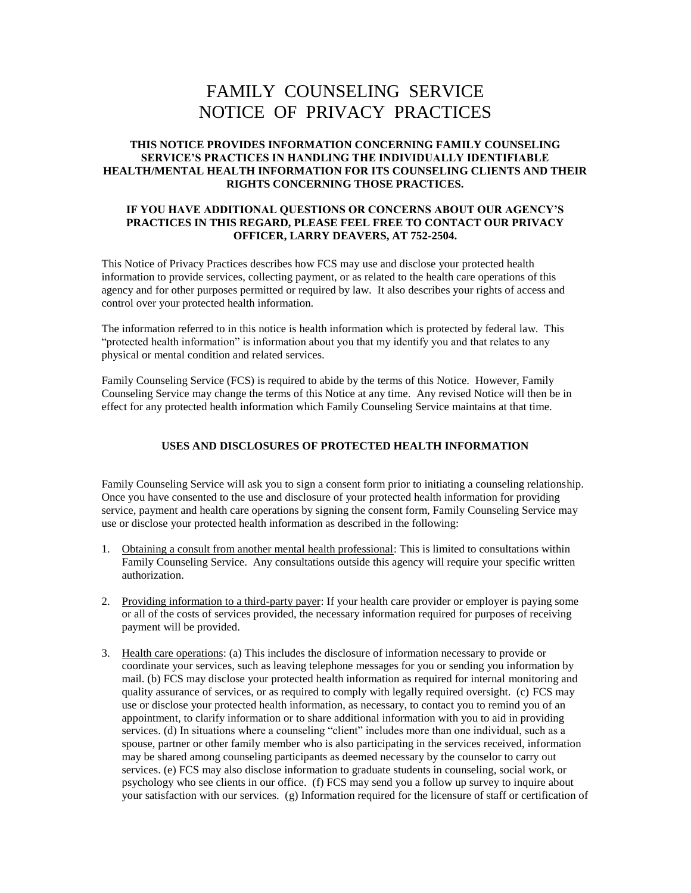# FAMILY COUNSELING SERVICE NOTICE OF PRIVACY PRACTICES

## **THIS NOTICE PROVIDES INFORMATION CONCERNING FAMILY COUNSELING SERVICE'S PRACTICES IN HANDLING THE INDIVIDUALLY IDENTIFIABLE HEALTH/MENTAL HEALTH INFORMATION FOR ITS COUNSELING CLIENTS AND THEIR RIGHTS CONCERNING THOSE PRACTICES.**

#### **IF YOU HAVE ADDITIONAL QUESTIONS OR CONCERNS ABOUT OUR AGENCY'S PRACTICES IN THIS REGARD, PLEASE FEEL FREE TO CONTACT OUR PRIVACY OFFICER, LARRY DEAVERS, AT 752-2504.**

This Notice of Privacy Practices describes how FCS may use and disclose your protected health information to provide services, collecting payment, or as related to the health care operations of this agency and for other purposes permitted or required by law. It also describes your rights of access and control over your protected health information.

The information referred to in this notice is health information which is protected by federal law. This "protected health information" is information about you that my identify you and that relates to any physical or mental condition and related services.

Family Counseling Service (FCS) is required to abide by the terms of this Notice. However, Family Counseling Service may change the terms of this Notice at any time. Any revised Notice will then be in effect for any protected health information which Family Counseling Service maintains at that time.

## **USES AND DISCLOSURES OF PROTECTED HEALTH INFORMATION**

Family Counseling Service will ask you to sign a consent form prior to initiating a counseling relationship. Once you have consented to the use and disclosure of your protected health information for providing service, payment and health care operations by signing the consent form, Family Counseling Service may use or disclose your protected health information as described in the following:

- 1. Obtaining a consult from another mental health professional: This is limited to consultations within Family Counseling Service. Any consultations outside this agency will require your specific written authorization.
- 2. Providing information to a third-party payer: If your health care provider or employer is paying some or all of the costs of services provided, the necessary information required for purposes of receiving payment will be provided.
- 3. Health care operations: (a) This includes the disclosure of information necessary to provide or coordinate your services, such as leaving telephone messages for you or sending you information by mail. (b) FCS may disclose your protected health information as required for internal monitoring and quality assurance of services, or as required to comply with legally required oversight. (c) FCS may use or disclose your protected health information, as necessary, to contact you to remind you of an appointment, to clarify information or to share additional information with you to aid in providing services. (d) In situations where a counseling "client" includes more than one individual, such as a spouse, partner or other family member who is also participating in the services received, information may be shared among counseling participants as deemed necessary by the counselor to carry out services. (e) FCS may also disclose information to graduate students in counseling, social work, or psychology who see clients in our office. (f) FCS may send you a follow up survey to inquire about your satisfaction with our services. (g) Information required for the licensure of staff or certification of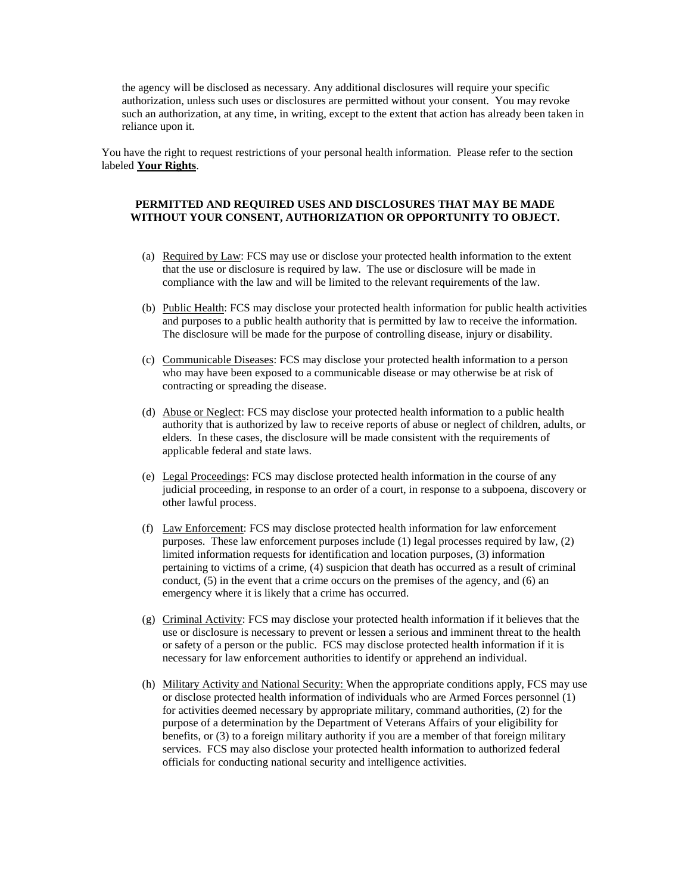the agency will be disclosed as necessary. Any additional disclosures will require your specific authorization, unless such uses or disclosures are permitted without your consent. You may revoke such an authorization, at any time, in writing, except to the extent that action has already been taken in reliance upon it.

You have the right to request restrictions of your personal health information. Please refer to the section labeled **Your Rights**.

## **PERMITTED AND REQUIRED USES AND DISCLOSURES THAT MAY BE MADE WITHOUT YOUR CONSENT, AUTHORIZATION OR OPPORTUNITY TO OBJECT.**

- (a) Required by Law: FCS may use or disclose your protected health information to the extent that the use or disclosure is required by law. The use or disclosure will be made in compliance with the law and will be limited to the relevant requirements of the law.
- (b) Public Health: FCS may disclose your protected health information for public health activities and purposes to a public health authority that is permitted by law to receive the information. The disclosure will be made for the purpose of controlling disease, injury or disability.
- (c) Communicable Diseases: FCS may disclose your protected health information to a person who may have been exposed to a communicable disease or may otherwise be at risk of contracting or spreading the disease.
- (d) Abuse or Neglect: FCS may disclose your protected health information to a public health authority that is authorized by law to receive reports of abuse or neglect of children, adults, or elders. In these cases, the disclosure will be made consistent with the requirements of applicable federal and state laws.
- (e) Legal Proceedings: FCS may disclose protected health information in the course of any judicial proceeding, in response to an order of a court, in response to a subpoena, discovery or other lawful process.
- (f) Law Enforcement: FCS may disclose protected health information for law enforcement purposes. These law enforcement purposes include (1) legal processes required by law, (2) limited information requests for identification and location purposes, (3) information pertaining to victims of a crime, (4) suspicion that death has occurred as a result of criminal conduct, (5) in the event that a crime occurs on the premises of the agency, and (6) an emergency where it is likely that a crime has occurred.
- (g) Criminal Activity: FCS may disclose your protected health information if it believes that the use or disclosure is necessary to prevent or lessen a serious and imminent threat to the health or safety of a person or the public. FCS may disclose protected health information if it is necessary for law enforcement authorities to identify or apprehend an individual.
- (h) Military Activity and National Security: When the appropriate conditions apply, FCS may use or disclose protected health information of individuals who are Armed Forces personnel (1) for activities deemed necessary by appropriate military, command authorities, (2) for the purpose of a determination by the Department of Veterans Affairs of your eligibility for benefits, or (3) to a foreign military authority if you are a member of that foreign military services. FCS may also disclose your protected health information to authorized federal officials for conducting national security and intelligence activities.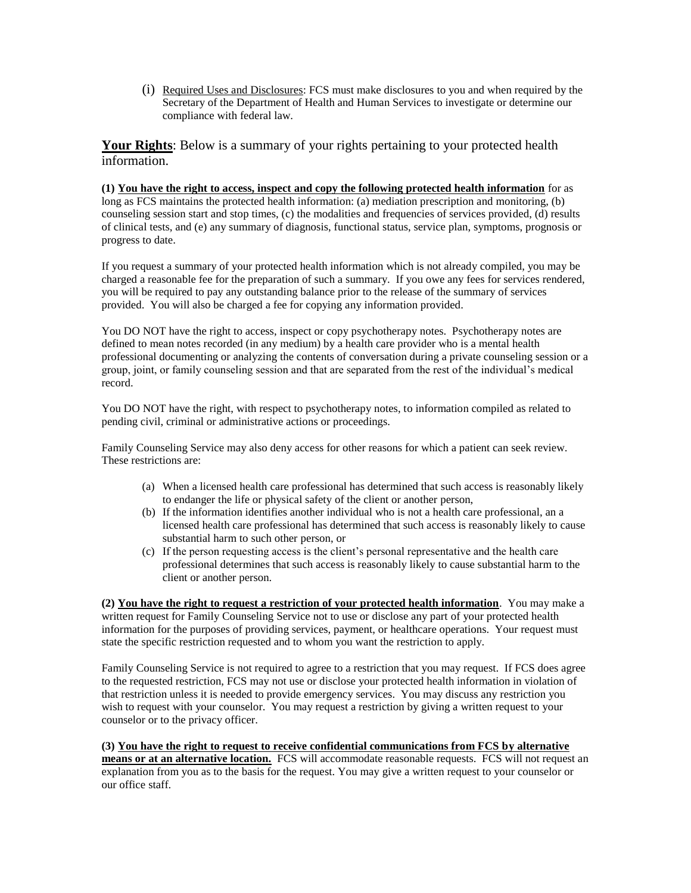(i) Required Uses and Disclosures: FCS must make disclosures to you and when required by the Secretary of the Department of Health and Human Services to investigate or determine our compliance with federal law.

**Your Rights**: Below is a summary of your rights pertaining to your protected health information.

**(1) You have the right to access, inspect and copy the following protected health information** for as long as FCS maintains the protected health information: (a) mediation prescription and monitoring, (b) counseling session start and stop times, (c) the modalities and frequencies of services provided, (d) results of clinical tests, and (e) any summary of diagnosis, functional status, service plan, symptoms, prognosis or progress to date.

If you request a summary of your protected health information which is not already compiled, you may be charged a reasonable fee for the preparation of such a summary. If you owe any fees for services rendered, you will be required to pay any outstanding balance prior to the release of the summary of services provided. You will also be charged a fee for copying any information provided.

You DO NOT have the right to access, inspect or copy psychotherapy notes. Psychotherapy notes are defined to mean notes recorded (in any medium) by a health care provider who is a mental health professional documenting or analyzing the contents of conversation during a private counseling session or a group, joint, or family counseling session and that are separated from the rest of the individual's medical record.

You DO NOT have the right, with respect to psychotherapy notes, to information compiled as related to pending civil, criminal or administrative actions or proceedings.

Family Counseling Service may also deny access for other reasons for which a patient can seek review. These restrictions are:

- (a) When a licensed health care professional has determined that such access is reasonably likely to endanger the life or physical safety of the client or another person,
- (b) If the information identifies another individual who is not a health care professional, an a licensed health care professional has determined that such access is reasonably likely to cause substantial harm to such other person, or
- (c) If the person requesting access is the client's personal representative and the health care professional determines that such access is reasonably likely to cause substantial harm to the client or another person.

**(2) You have the right to request a restriction of your protected health information**. You may make a written request for Family Counseling Service not to use or disclose any part of your protected health information for the purposes of providing services, payment, or healthcare operations. Your request must state the specific restriction requested and to whom you want the restriction to apply.

Family Counseling Service is not required to agree to a restriction that you may request. If FCS does agree to the requested restriction, FCS may not use or disclose your protected health information in violation of that restriction unless it is needed to provide emergency services. You may discuss any restriction you wish to request with your counselor. You may request a restriction by giving a written request to your counselor or to the privacy officer.

**(3) You have the right to request to receive confidential communications from FCS by alternative means or at an alternative location.** FCS will accommodate reasonable requests. FCS will not request an explanation from you as to the basis for the request. You may give a written request to your counselor or our office staff.